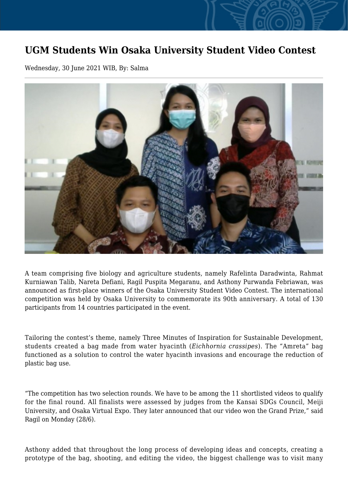## **UGM Students Win Osaka University Student Video Contest**

Wednesday, 30 June 2021 WIB, By: Salma



A team comprising five biology and agriculture students, namely Rafelinta Daradwinta, Rahmat Kurniawan Talib, Nareta Defiani, Ragil Puspita Megaranu, and Asthony Purwanda Febriawan, was announced as first-place winners of the Osaka University Student Video Contest. The international competition was held by Osaka University to commemorate its 90th anniversary. A total of 130 participants from 14 countries participated in the event.

Tailoring the contest's theme, namely Three Minutes of Inspiration for Sustainable Development, students created a bag made from water hyacinth (*Eichhornia crassipes*). The "Amreta" bag functioned as a solution to control the water hyacinth invasions and encourage the reduction of plastic bag use.

"The competition has two selection rounds. We have to be among the 11 shortlisted videos to qualify for the final round. All finalists were assessed by judges from the Kansai SDGs Council, Meiji University, and Osaka Virtual Expo. They later announced that our video won the Grand Prize," said Ragil on Monday (28/6).

Asthony added that throughout the long process of developing ideas and concepts, creating a prototype of the bag, shooting, and editing the video, the biggest challenge was to visit many